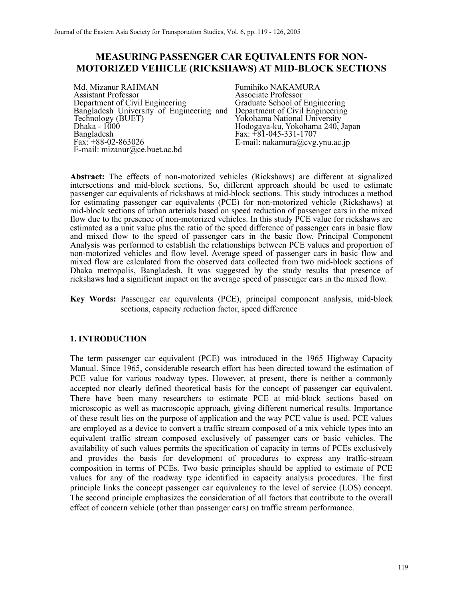# **MEASURING PASSENGER CAR EQUIVALENTS FOR NON-MOTORIZED VEHICLE (RICKSHAWS) AT MID-BLOCK SECTIONS**

Md. Mizanur RAHMAN Assistant Professor Department of Civil Engineering Bangladesh University of Engineering and Technology (BUET) Dhaka -  $1000$ Bangladesh  $Fax: +88-02-863026$ E-mail: mizanur@ce.buet.ac.bd

Fumihiko NAKAMURA Associate Professor Graduate School of Engineering Department of Civil Engineering Yokohama National University Hodogaya-ku, Yokohama 240, Japan Fax: +81-045-331-1707 E-mail: nakamura@cvg.ynu.ac.jp

**Abstract:** The effects of non-motorized vehicles (Rickshaws) are different at signalized intersections and mid-block sections. So, different approach should be used to estimate passenger car equivalents of rickshaws at mid-block sections. This study introduces a method for estimating passenger car equivalents (PCE) for non-motorized vehicle (Rickshaws) at mid-block sections of urban arterials based on speed reduction of passenger cars in the mixed flow due to the presence of non-motorized vehicles. In this study PCE value for rickshaws are estimated as a unit value plus the ratio of the speed difference of passenger cars in basic flow and mixed flow to the speed of passenger cars in the basic flow. Principal Component Analysis was performed to establish the relationships between PCE values and proportion of non-motorized vehicles and flow level. Average speed of passenger cars in basic flow and mixed flow are calculated from the observed data collected from two mid-block sections of Dhaka metropolis, Bangladesh. It was suggested by the study results that presence of rickshaws had a significant impact on the average speed of passenger cars in the mixed flow.

**Key Words:** Passenger car equivalents (PCE), principal component analysis, mid-block sections, capacity reduction factor, speed difference

#### **1. INTRODUCTION**

The term passenger car equivalent (PCE) was introduced in the 1965 Highway Capacity Manual. Since 1965, considerable research effort has been directed toward the estimation of PCE value for various roadway types. However, at present, there is neither a commonly accepted nor clearly defined theoretical basis for the concept of passenger car equivalent. There have been many researchers to estimate PCE at mid-block sections based on microscopic as well as macroscopic approach, giving different numerical results. Importance of these result lies on the purpose of application and the way PCE value is used. PCE values are employed as a device to convert a traffic stream composed of a mix vehicle types into an equivalent traffic stream composed exclusively of passenger cars or basic vehicles. The availability of such values permits the specification of capacity in terms of PCEs exclusively and provides the basis for development of procedures to express any traffic-stream composition in terms of PCEs. Two basic principles should be applied to estimate of PCE values for any of the roadway type identified in capacity analysis procedures. The first principle links the concept passenger car equivalency to the level of service (LOS) concept. The second principle emphasizes the consideration of all factors that contribute to the overall effect of concern vehicle (other than passenger cars) on traffic stream performance.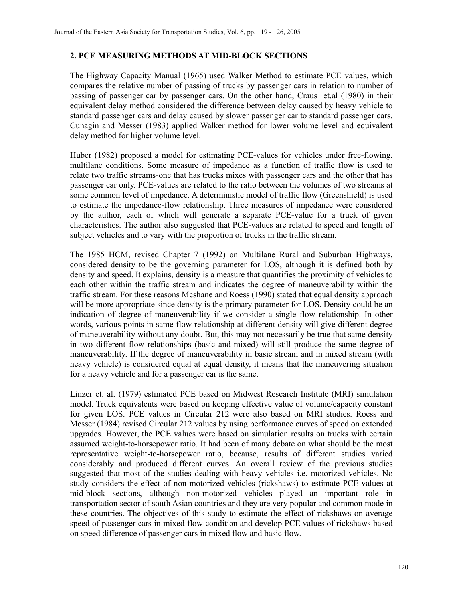### **2. PCE MEASURING METHODS AT MID-BLOCK SECTIONS**

The Highway Capacity Manual (1965) used Walker Method to estimate PCE values, which compares the relative number of passing of trucks by passenger cars in relation to number of passing of passenger car by passenger cars. On the other hand, Craus et.al (1980) in their equivalent delay method considered the difference between delay caused by heavy vehicle to standard passenger cars and delay caused by slower passenger car to standard passenger cars. Cunagin and Messer (1983) applied Walker method for lower volume level and equivalent delay method for higher volume level.

Huber (1982) proposed a model for estimating PCE-values for vehicles under free-flowing, multilane conditions. Some measure of impedance as a function of traffic flow is used to relate two traffic streams-one that has trucks mixes with passenger cars and the other that has passenger car only. PCE-values are related to the ratio between the volumes of two streams at some common level of impedance. A deterministic model of traffic flow (Greenshield) is used to estimate the impedance-flow relationship. Three measures of impedance were considered by the author, each of which will generate a separate PCE-value for a truck of given characteristics. The author also suggested that PCE-values are related to speed and length of subject vehicles and to vary with the proportion of trucks in the traffic stream.

The 1985 HCM, revised Chapter 7 (1992) on Multilane Rural and Suburban Highways, considered density to be the governing parameter for LOS, although it is defined both by density and speed. It explains, density is a measure that quantifies the proximity of vehicles to each other within the traffic stream and indicates the degree of maneuverability within the traffic stream. For these reasons Mcshane and Roess (1990) stated that equal density approach will be more appropriate since density is the primary parameter for LOS. Density could be an indication of degree of maneuverability if we consider a single flow relationship. In other words, various points in same flow relationship at different density will give different degree of maneuverability without any doubt. But, this may not necessarily be true that same density in two different flow relationships (basic and mixed) will still produce the same degree of maneuverability. If the degree of maneuverability in basic stream and in mixed stream (with heavy vehicle) is considered equal at equal density, it means that the maneuvering situation for a heavy vehicle and for a passenger car is the same.

Linzer et. al. (1979) estimated PCE based on Midwest Research Institute (MRI) simulation model. Truck equivalents were based on keeping effective value of volume/capacity constant for given LOS. PCE values in Circular 212 were also based on MRI studies. Roess and Messer (1984) revised Circular 212 values by using performance curves of speed on extended upgrades. However, the PCE values were based on simulation results on trucks with certain assumed weight-to-horsepower ratio. It had been of many debate on what should be the most representative weight-to-horsepower ratio, because, results of different studies varied considerably and produced different curves. An overall review of the previous studies suggested that most of the studies dealing with heavy vehicles i.e. motorized vehicles. No study considers the effect of non-motorized vehicles (rickshaws) to estimate PCE-values at mid-block sections, although non-motorized vehicles played an important role in transportation sector of south Asian countries and they are very popular and common mode in these countries. The objectives of this study to estimate the effect of rickshaws on average speed of passenger cars in mixed flow condition and develop PCE values of rickshaws based on speed difference of passenger cars in mixed flow and basic flow.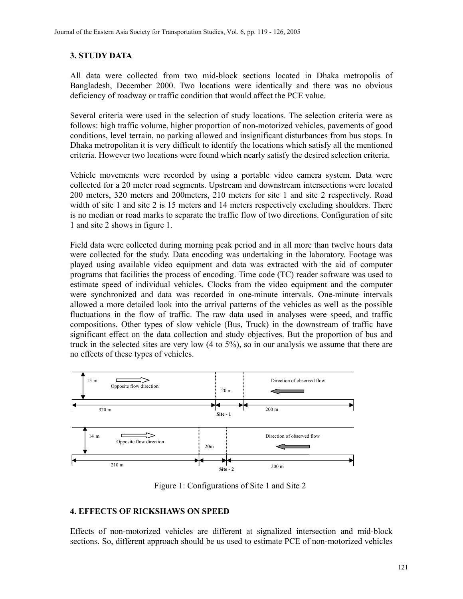# **3. STUDY DATA**

All data were collected from two mid-block sections located in Dhaka metropolis of Bangladesh, December 2000. Two locations were identically and there was no obvious deficiency of roadway or traffic condition that would affect the PCE value.

Several criteria were used in the selection of study locations. The selection criteria were as follows: high traffic volume, higher proportion of non-motorized vehicles, pavements of good conditions, level terrain, no parking allowed and insignificant disturbances from bus stops. In Dhaka metropolitan it is very difficult to identify the locations which satisfy all the mentioned criteria. However two locations were found which nearly satisfy the desired selection criteria.

Vehicle movements were recorded by using a portable video camera system. Data were collected for a 20 meter road segments. Upstream and downstream intersections were located 200 meters, 320 meters and 200meters, 210 meters for site 1 and site 2 respectively. Road width of site 1 and site 2 is 15 meters and 14 meters respectively excluding shoulders. There is no median or road marks to separate the traffic flow of two directions. Configuration of site 1 and site 2 shows in figure 1.

Field data were collected during morning peak period and in all more than twelve hours data were collected for the study. Data encoding was undertaking in the laboratory. Footage was played using available video equipment and data was extracted with the aid of computer programs that facilities the process of encoding. Time code (TC) reader software was used to estimate speed of individual vehicles. Clocks from the video equipment and the computer were synchronized and data was recorded in one-minute intervals. One-minute intervals allowed a more detailed look into the arrival patterns of the vehicles as well as the possible fluctuations in the flow of traffic. The raw data used in analyses were speed, and traffic compositions. Other types of slow vehicle (Bus, Truck) in the downstream of traffic have significant effect on the data collection and study objectives. But the proportion of bus and truck in the selected sites are very low (4 to 5%), so in our analysis we assume that there are no effects of these types of vehicles.



Figure 1: Configurations of Site 1 and Site 2

## **4. EFFECTS OF RICKSHAWS ON SPEED**

Effects of non-motorized vehicles are different at signalized intersection and mid-block sections. So, different approach should be us used to estimate PCE of non-motorized vehicles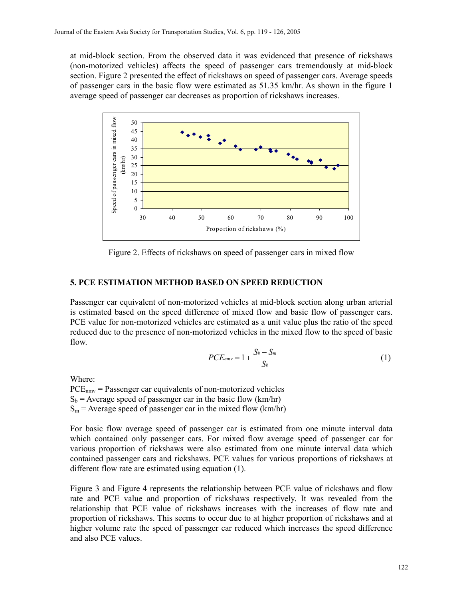at mid-block section. From the observed data it was evidenced that presence of rickshaws (non-motorized vehicles) affects the speed of passenger cars tremendously at mid-block section. Figure 2 presented the effect of rickshaws on speed of passenger cars. Average speeds of passenger cars in the basic flow were estimated as 51.35 km/hr. As shown in the figure 1 average speed of passenger car decreases as proportion of rickshaws increases.



Figure 2. Effects of rickshaws on speed of passenger cars in mixed flow

## **5. PCE ESTIMATION METHOD BASED ON SPEED REDUCTION**

Passenger car equivalent of non-motorized vehicles at mid-block section along urban arterial is estimated based on the speed difference of mixed flow and basic flow of passenger cars. PCE value for non-motorized vehicles are estimated as a unit value plus the ratio of the speed reduced due to the presence of non-motorized vehicles in the mixed flow to the speed of basic flow.

$$
PCE_{mmv} = 1 + \frac{S_b - S_m}{S_b} \tag{1}
$$

Where:

 $PCE<sub>nmv</sub>$  = Passenger car equivalents of non-motorized vehicles  $S_b$  = Average speed of passenger car in the basic flow (km/hr)  $S_m$  = Average speed of passenger car in the mixed flow (km/hr)

For basic flow average speed of passenger car is estimated from one minute interval data which contained only passenger cars. For mixed flow average speed of passenger car for various proportion of rickshaws were also estimated from one minute interval data which contained passenger cars and rickshaws. PCE values for various proportions of rickshaws at different flow rate are estimated using equation (1).

Figure 3 and Figure 4 represents the relationship between PCE value of rickshaws and flow rate and PCE value and proportion of rickshaws respectively. It was revealed from the relationship that PCE value of rickshaws increases with the increases of flow rate and proportion of rickshaws. This seems to occur due to at higher proportion of rickshaws and at higher volume rate the speed of passenger car reduced which increases the speed difference and also PCE values.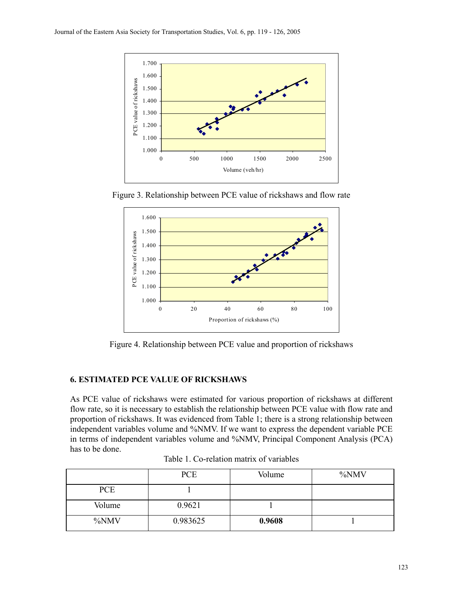

Figure 3. Relationship between PCE value of rickshaws and flow rate



Figure 4. Relationship between PCE value and proportion of rickshaws

## **6. ESTIMATED PCE VALUE OF RICKSHAWS**

As PCE value of rickshaws were estimated for various proportion of rickshaws at different flow rate, so it is necessary to establish the relationship between PCE value with flow rate and proportion of rickshaws. It was evidenced from Table 1; there is a strong relationship between independent variables volume and %NMV. If we want to express the dependent variable PCE in terms of independent variables volume and %NMV, Principal Component Analysis (PCA) has to be done.

|            | <b>PCE</b> | Volume | %NMV |
|------------|------------|--------|------|
| <b>PCE</b> |            |        |      |
| Volume     | 0.9621     |        |      |
| %NMV       | 0.983625   | 0.9608 |      |

Table 1. Co-relation matrix of variables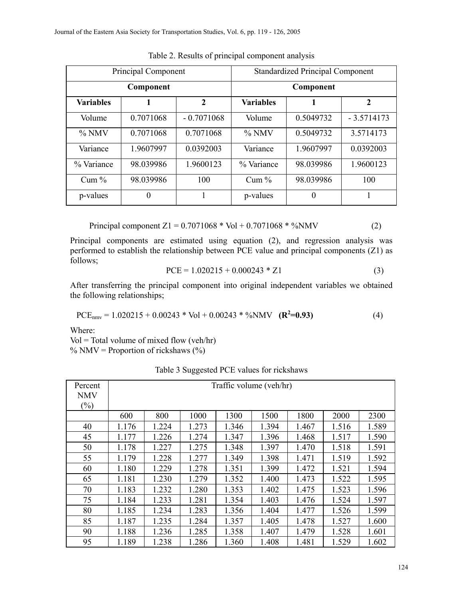| Principal Component |           |              | <b>Standardized Principal Component</b> |           |              |  |
|---------------------|-----------|--------------|-----------------------------------------|-----------|--------------|--|
| Component           |           |              | Component                               |           |              |  |
| <b>Variables</b>    | 1         | $\mathbf{2}$ | <b>Variables</b>                        |           | $\mathbf{2}$ |  |
| Volume              | 0.7071068 | $-0.7071068$ | Volume                                  | 0.5049732 | $-3.5714173$ |  |
| $\%$ NMV            | 0.7071068 | 0.7071068    | $\%$ NMV                                | 0.5049732 | 3.5714173    |  |
| Variance            | 1.9607997 | 0.0392003    | Variance                                | 1.9607997 | 0.0392003    |  |
| % Variance          | 98.039986 | 1.9600123    | % Variance                              | 98.039986 | 1.9600123    |  |
| Cum $%$             | 98.039986 | 100          | Cum $%$                                 | 98.039986 | 100          |  |
| p-values            | $\theta$  |              | p-values                                | 0         |              |  |

Table 2. Results of principal component analysis

Principal component  $Z1 = 0.7071068 * Vol + 0.7071068 * %NMV$  (2)

Principal components are estimated using equation (2), and regression analysis was performed to establish the relationship between PCE value and principal components (Z1) as follows;

$$
PCE = 1.020215 + 0.000243 * Z1
$$
 (3)

After transferring the principal component into original independent variables we obtained the following relationships;

$$
PCE_{nmv} = 1.020215 + 0.00243 * Vol + 0.00243 * %NMV (R2=0.93)
$$
 (4)

Where:

 $Vol = Total volume of mixed flow (veh/hr)$  $\%$  NMV = Proportion of rickshaws (%)

| Percent        | Traffic volume (veh/hr) |       |       |       |       |       |       |       |  |
|----------------|-------------------------|-------|-------|-------|-------|-------|-------|-------|--|
| <b>NMV</b>     |                         |       |       |       |       |       |       |       |  |
| $\binom{0}{0}$ |                         |       |       |       |       |       |       |       |  |
|                | 600                     | 800   | 1000  | 1300  | 1500  | 1800  | 2000  | 2300  |  |
| 40             | 1.176                   | 1.224 | 1.273 | 1.346 | 1.394 | 1.467 | 1.516 | 1.589 |  |
| 45             | 1.177                   | 1.226 | 1.274 | 1.347 | 1.396 | 1.468 | 1.517 | 1.590 |  |
| 50             | 1.178                   | 1.227 | 1.275 | 1.348 | 1.397 | 1.470 | 1.518 | 1.591 |  |
| 55             | 1.179                   | 1.228 | 1.277 | 1.349 | 1.398 | 1.471 | 1.519 | 1.592 |  |
| 60             | 1.180                   | 1.229 | 1.278 | 1.351 | 1.399 | 1.472 | 1.521 | 1.594 |  |
| 65             | 1.181                   | 1.230 | 1.279 | 1.352 | 1.400 | 1.473 | 1.522 | 1.595 |  |
| 70             | 1.183                   | 1.232 | 1.280 | 1.353 | 1.402 | 1.475 | 1.523 | 1.596 |  |
| 75             | 1.184                   | 1.233 | 1.281 | 1.354 | 1.403 | 1.476 | 1.524 | 1.597 |  |
| 80             | 1.185                   | 1.234 | 1.283 | 1.356 | 1.404 | 1.477 | 1.526 | 1.599 |  |
| 85             | 1.187                   | 1.235 | 1.284 | 1.357 | 1.405 | 1.478 | 1.527 | 1.600 |  |
| 90             | 1.188                   | 1.236 | 1.285 | 1.358 | 1.407 | 1.479 | 1.528 | 1.601 |  |
| 95             | 1.189                   | 1.238 | 1.286 | 1.360 | 1.408 | 1.481 | 1.529 | 1.602 |  |

Table 3 Suggested PCE values for rickshaws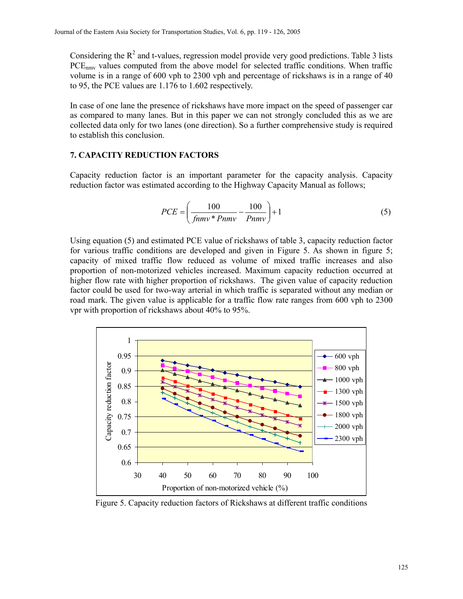Considering the  $R^2$  and t-values, regression model provide very good predictions. Table 3 lists PCE<sub>nmy</sub> values computed from the above model for selected traffic conditions. When traffic volume is in a range of 600 vph to 2300 vph and percentage of rickshaws is in a range of 40 to 95, the PCE values are 1.176 to 1.602 respectively.

In case of one lane the presence of rickshaws have more impact on the speed of passenger car as compared to many lanes. But in this paper we can not strongly concluded this as we are collected data only for two lanes (one direction). So a further comprehensive study is required to establish this conclusion.

#### **7. CAPACITY REDUCTION FACTORS**

Capacity reduction factor is an important parameter for the capacity analysis. Capacity reduction factor was estimated according to the Highway Capacity Manual as follows;

$$
PCE = \left(\frac{100}{fnmv * Pnmv} - \frac{100}{Pnmv}\right) + 1\tag{5}
$$

Using equation (5) and estimated PCE value of rickshaws of table 3, capacity reduction factor for various traffic conditions are developed and given in Figure 5. As shown in figure 5; capacity of mixed traffic flow reduced as volume of mixed traffic increases and also proportion of non-motorized vehicles increased. Maximum capacity reduction occurred at higher flow rate with higher proportion of rickshaws. The given value of capacity reduction factor could be used for two-way arterial in which traffic is separated without any median or road mark. The given value is applicable for a traffic flow rate ranges from 600 vph to 2300 vpr with proportion of rickshaws about 40% to 95%.



Figure 5. Capacity reduction factors of Rickshaws at different traffic conditions